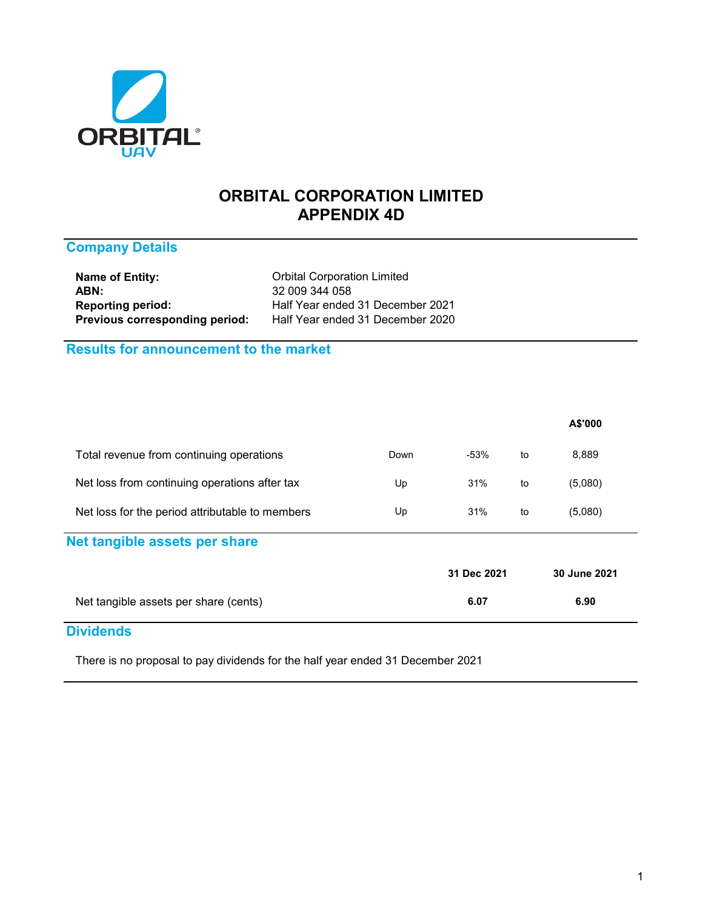

# **ORBITAL CORPORATION LIMITED APPENDIX 4D**

# **Company Details**

**Name of Entity:** Crbital Corporation Limited ABN: 32 009 344 058<br> **Reporting period:** The Half Year ended **Previous corresponding period:** Half Year ended 31 December 2020

**Reporting period:** Half Year ended 31 December 2021

# **Results for announcement to the market**

| Net tangible assets per share (cents)           |      | 6.07        |    | 6.90         |
|-------------------------------------------------|------|-------------|----|--------------|
|                                                 |      | 31 Dec 2021 |    | 30 June 2021 |
| Net tangible assets per share                   |      |             |    |              |
| Net loss for the period attributable to members | Up   | 31%         | to | (5,080)      |
| Net loss from continuing operations after tax   | Up   | 31%         | to | (5,080)      |
| Total revenue from continuing operations        | Down | -53%        | to | 8,889        |
|                                                 |      |             |    | A\$'000      |

### **Dividends**

There is no proposal to pay dividends for the half year ended 31 December 2021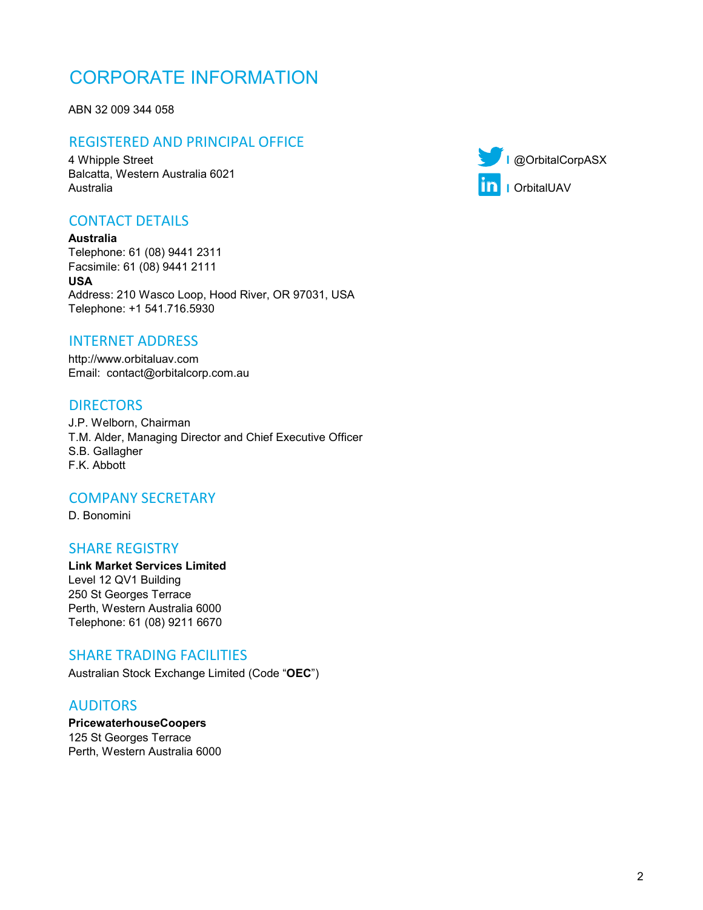# CORPORATE INFORMATION

ABN 32 009 344 058

# REGISTERED AND PRINCIPAL OFFICE

**I** 4 Whipple Street @OrbitalCorpASX **I** Australia OrbitalUAV Balcatta, Western Australia 6021

# CONTACT DETAILS

Address: 210 Wasco Loop, Hood River, OR 97031, USA **Australia** Telephone: 61 (08) 9441 2311 Facsimile: 61 (08) 9441 2111 **USA** Telephone: +1 541.716.5930

# INTERNET ADDRESS

http://www.orbitaluav.com Email: contact@orbitalcorp.com.au

# **DIRECTORS**

F.K. Abbott J.P. Welborn, Chairman T.M. Alder, Managing Director and Chief Executive Officer S.B. Gallagher

### COMPANY SECRETARY

D. Bonomini

### SHARE REGISTRY

Telephone: 61 (08) 9211 6670 Level 12 QV1 Building 250 St Georges Terrace Perth, Western Australia 6000 **Link Market Services Limited**

### SHARE TRADING FACILITIES

Australian Stock Exchange Limited (Code "**OEC**")

# AUDITORS

125 St Georges Terrace Perth, Western Australia 6000 **PricewaterhouseCoopers**

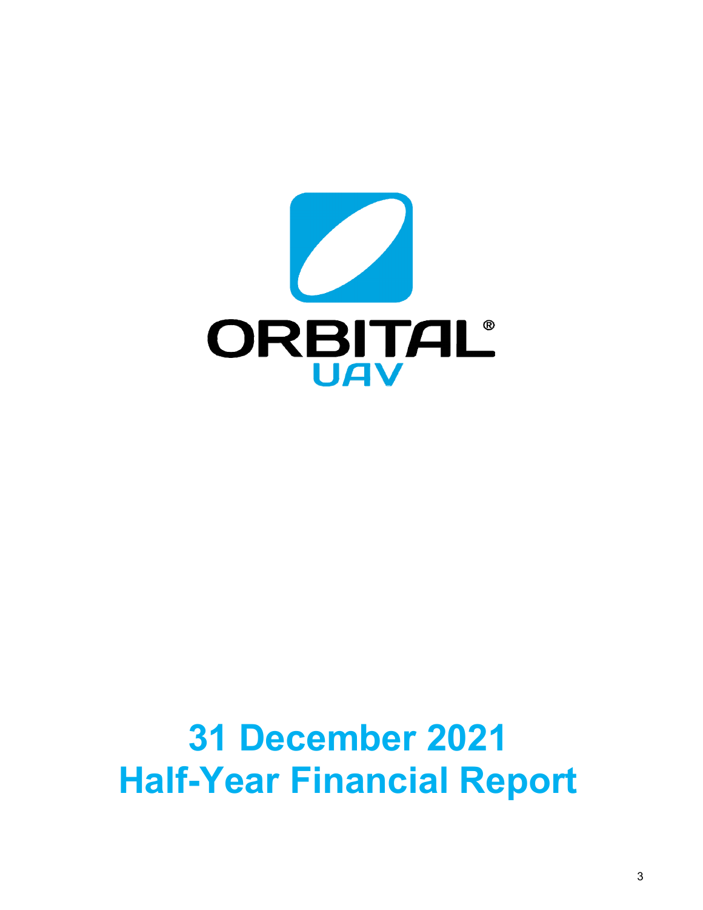

# **31 December 2021 Half-Year Financial Report**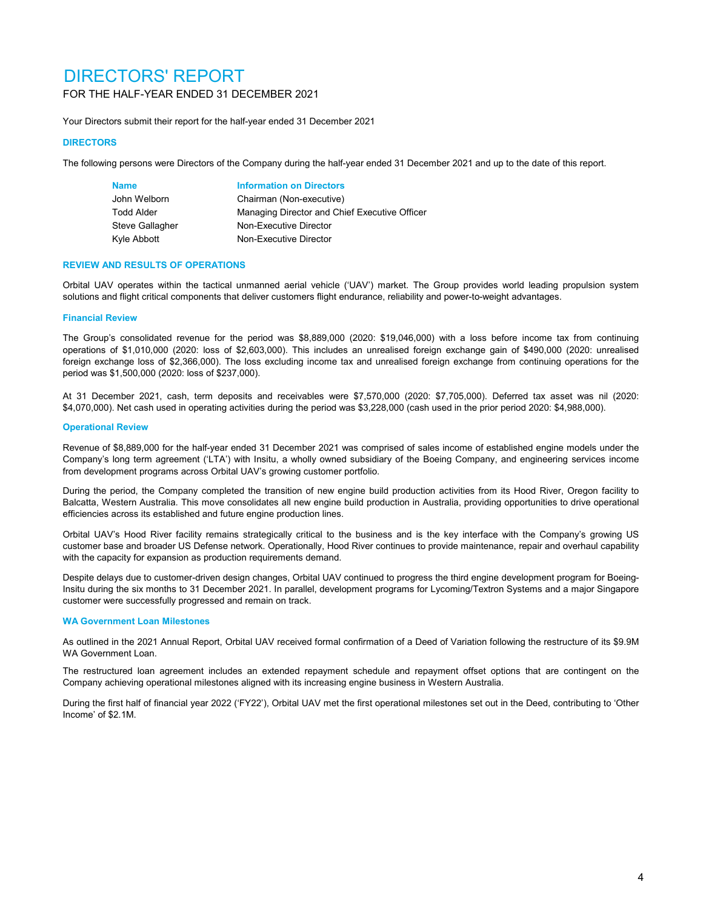# DIRECTORS' REPORT FOR THE HALF-YEAR ENDED 31 DECEMBER 2021

Your Directors submit their report for the half-year ended 31 December 2021

### **DIRECTORS**

The following persons were Directors of the Company during the half-year ended 31 December 2021 and up to the date of this report.

| <b>Name</b>     | <b>Information on Directors</b>               |
|-----------------|-----------------------------------------------|
| John Welborn    | Chairman (Non-executive)                      |
| Todd Alder      | Managing Director and Chief Executive Officer |
| Steve Gallagher | Non-Executive Director                        |
| Kyle Abbott     | Non-Executive Director                        |

### **REVIEW AND RESULTS OF OPERATIONS**

Orbital UAV operates within the tactical unmanned aerial vehicle ('UAV') market. The Group provides world leading propulsion system solutions and flight critical components that deliver customers flight endurance, reliability and power-to-weight advantages.

### **Financial Review**

The Group's consolidated revenue for the period was \$8,889,000 (2020: \$19,046,000) with a loss before income tax from continuing operations of \$1,010,000 (2020: loss of \$2,603,000). This includes an unrealised foreign exchange gain of \$490,000 (2020: unrealised foreign exchange loss of \$2,366,000). The loss excluding income tax and unrealised foreign exchange from continuing operations for the period was \$1,500,000 (2020: loss of \$237,000).

At 31 December 2021, cash, term deposits and receivables were \$7,570,000 (2020: \$7,705,000). Deferred tax asset was nil (2020: \$4,070,000). Net cash used in operating activities during the period was \$3,228,000 (cash used in the prior period 2020: \$4,988,000).

### **Operational Review**

Revenue of \$8,889,000 for the half-year ended 31 December 2021 was comprised of sales income of established engine models under the Company's long term agreement ('LTA') with Insitu, a wholly owned subsidiary of the Boeing Company, and engineering services income from development programs across Orbital UAV's growing customer portfolio.

During the period, the Company completed the transition of new engine build production activities from its Hood River, Oregon facility to Balcatta, Western Australia. This move consolidates all new engine build production in Australia, providing opportunities to drive operational efficiencies across its established and future engine production lines.

Orbital UAV's Hood River facility remains strategically critical to the business and is the key interface with the Company's growing US customer base and broader US Defense network. Operationally, Hood River continues to provide maintenance, repair and overhaul capability with the capacity for expansion as production requirements demand.

Despite delays due to customer-driven design changes, Orbital UAV continued to progress the third engine development program for Boeing-Insitu during the six months to 31 December 2021. In parallel, development programs for Lycoming/Textron Systems and a major Singapore customer were successfully progressed and remain on track.

### **WA Government Loan Milestones**

As outlined in the 2021 Annual Report, Orbital UAV received formal confirmation of a Deed of Variation following the restructure of its \$9.9M WA Government Loan.

The restructured loan agreement includes an extended repayment schedule and repayment offset options that are contingent on the Company achieving operational milestones aligned with its increasing engine business in Western Australia.

During the first half of financial year 2022 ('FY22'), Orbital UAV met the first operational milestones set out in the Deed, contributing to 'Other Income' of \$2.1M.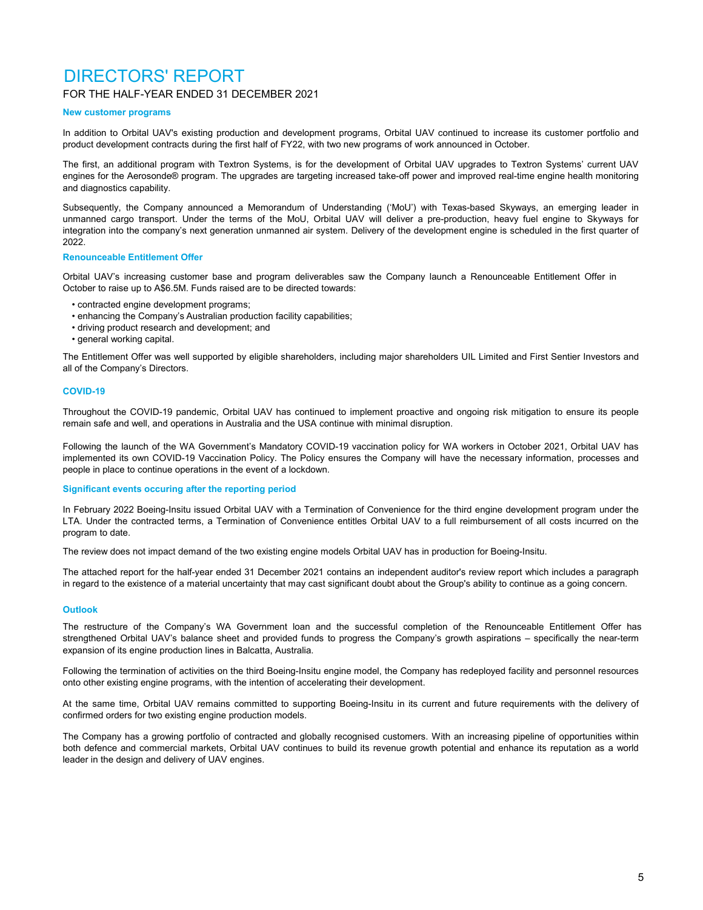# DIRECTORS' REPORT

### FOR THE HALF-YEAR ENDED 31 DECEMBER 2021

### **New customer programs**

In addition to Orbital UAV's existing production and development programs, Orbital UAV continued to increase its customer portfolio and product development contracts during the first half of FY22, with two new programs of work announced in October.

The first, an additional program with Textron Systems, is for the development of Orbital UAV upgrades to Textron Systems' current UAV engines for the Aerosonde® program. The upgrades are targeting increased take-off power and improved real-time engine health monitoring and diagnostics capability.

Subsequently, the Company announced a Memorandum of Understanding ('MoU') with Texas-based Skyways, an emerging leader in unmanned cargo transport. Under the terms of the MoU, Orbital UAV will deliver a pre-production, heavy fuel engine to Skyways for integration into the company's next generation unmanned air system. Delivery of the development engine is scheduled in the first quarter of 2022.

### **Renounceable Entitlement Offer**

Orbital UAV's increasing customer base and program deliverables saw the Company launch a Renounceable Entitlement Offer in October to raise up to A\$6.5M. Funds raised are to be directed towards:

- contracted engine development programs;
- enhancing the Company's Australian production facility capabilities;
- driving product research and development; and
- general working capital.

The Entitlement Offer was well supported by eligible shareholders, including major shareholders UIL Limited and First Sentier Investors and all of the Company's Directors.

### **COVID-19**

Throughout the COVID-19 pandemic, Orbital UAV has continued to implement proactive and ongoing risk mitigation to ensure its people remain safe and well, and operations in Australia and the USA continue with minimal disruption.

Following the launch of the WA Government's Mandatory COVID-19 vaccination policy for WA workers in October 2021, Orbital UAV has implemented its own COVID-19 Vaccination Policy. The Policy ensures the Company will have the necessary information, processes and people in place to continue operations in the event of a lockdown.

### **Significant events occuring after the reporting period**

In February 2022 Boeing-Insitu issued Orbital UAV with a Termination of Convenience for the third engine development program under the LTA. Under the contracted terms, a Termination of Convenience entitles Orbital UAV to a full reimbursement of all costs incurred on the program to date.

The review does not impact demand of the two existing engine models Orbital UAV has in production for Boeing-Insitu.

The attached report for the half-year ended 31 December 2021 contains an independent auditor's review report which includes a paragraph in regard to the existence of a material uncertainty that may cast significant doubt about the Group's ability to continue as a going concern.

### **Outlook**

The restructure of the Company's WA Government loan and the successful completion of the Renounceable Entitlement Offer has strengthened Orbital UAV's balance sheet and provided funds to progress the Company's growth aspirations – specifically the near-term expansion of its engine production lines in Balcatta, Australia.

Following the termination of activities on the third Boeing-Insitu engine model, the Company has redeployed facility and personnel resources onto other existing engine programs, with the intention of accelerating their development.

At the same time, Orbital UAV remains committed to supporting Boeing-Insitu in its current and future requirements with the delivery of confirmed orders for two existing engine production models.

The Company has a growing portfolio of contracted and globally recognised customers. With an increasing pipeline of opportunities within both defence and commercial markets, Orbital UAV continues to build its revenue growth potential and enhance its reputation as a world leader in the design and delivery of UAV engines.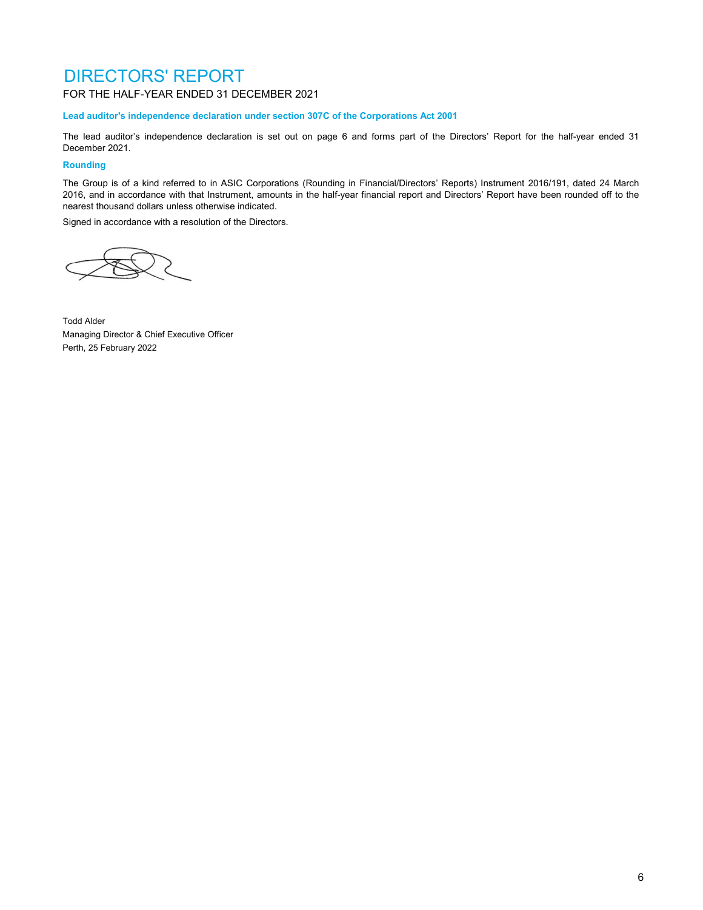# DIRECTORS' REPORT

FOR THE HALF-YEAR ENDED 31 DECEMBER 2021

**Lead auditor's independence declaration under section 307C of the Corporations Act 2001**

The lead auditor's independence declaration is set out on page 6 and forms part of the Directors' Report for the half-year ended 31 December 2021.

### **Rounding**

The Group is of a kind referred to in ASIC Corporations (Rounding in Financial/Directors' Reports) Instrument 2016/191, dated 24 March 2016, and in accordance with that Instrument, amounts in the half-year financial report and Directors' Report have been rounded off to the nearest thousand dollars unless otherwise indicated.

Signed in accordance with a resolution of the Directors.



Todd Alder Managing Director & Chief Executive Officer Perth, 25 February 2022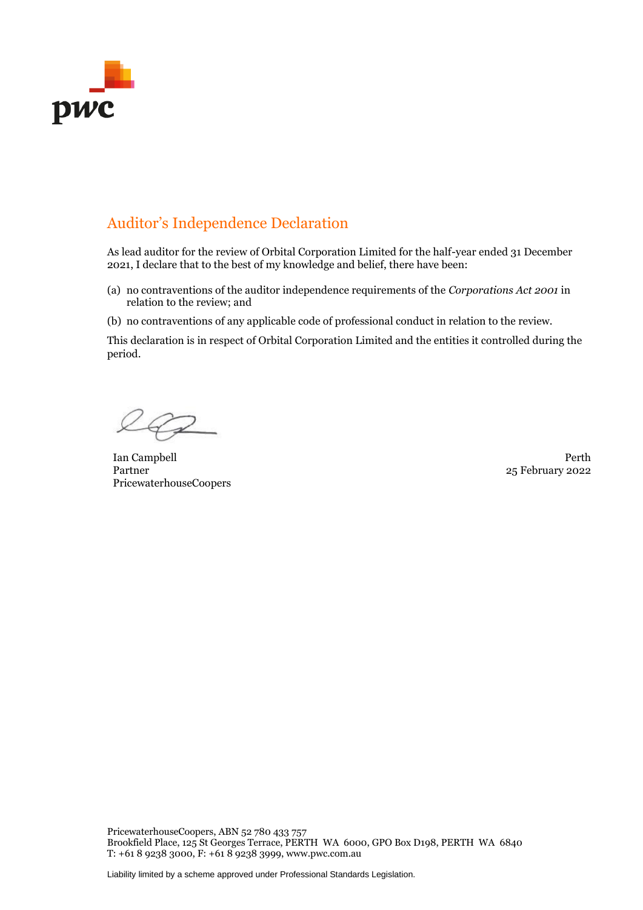

# Auditor's Independence Declaration

As lead auditor for the review of Orbital Corporation Limited for the half-year ended 31 December 2021, I declare that to the best of my knowledge and belief, there have been:

- (a) no contraventions of the auditor independence requirements of the *Corporations Act 2001* in relation to the review; and
- (b) no contraventions of any applicable code of professional conduct in relation to the review.

This declaration is in respect of Orbital Corporation Limited and the entities it controlled during the period.

162

Ian Campbell Perth Partner PricewaterhouseCoopers

25 February 2022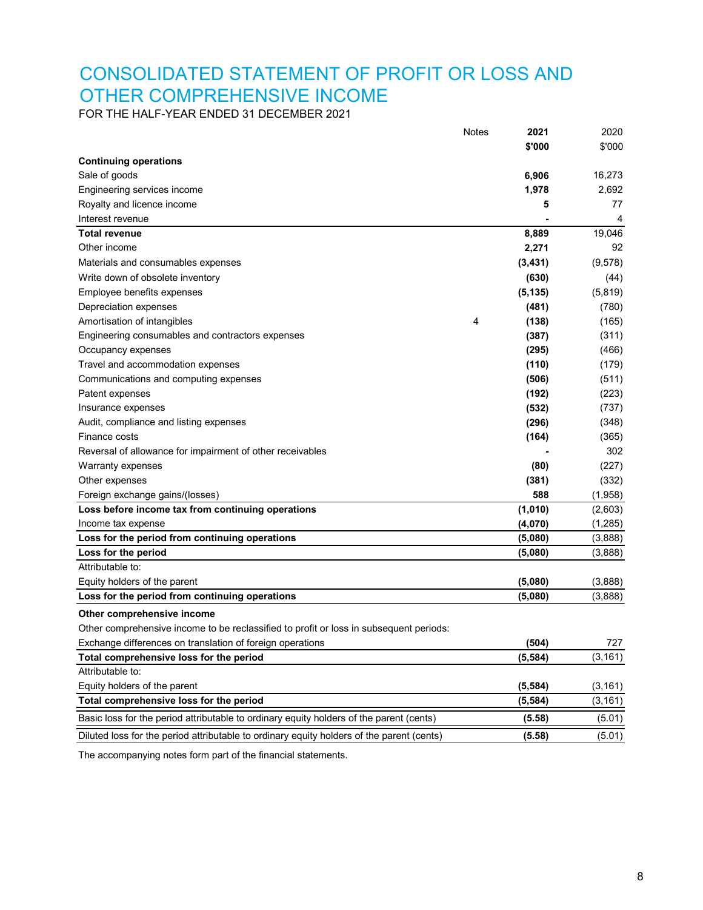# CONSOLIDATED STATEMENT OF PROFIT OR LOSS AND OTHER COMPREHENSIVE INCOME

FOR THE HALF-YEAR ENDED 31 DECEMBER 2021

|                                                                                           | Notes | 2021     | 2020     |
|-------------------------------------------------------------------------------------------|-------|----------|----------|
|                                                                                           |       | \$'000   | \$'000   |
| <b>Continuing operations</b>                                                              |       |          |          |
| Sale of goods                                                                             |       | 6,906    | 16,273   |
| Engineering services income                                                               |       | 1,978    | 2,692    |
| Royalty and licence income                                                                |       | 5        | 77       |
| Interest revenue                                                                          |       |          | 4        |
| Total revenue                                                                             |       | 8,889    | 19,046   |
| Other income                                                                              |       | 2,271    | 92       |
| Materials and consumables expenses                                                        |       | (3,431)  | (9,578)  |
| Write down of obsolete inventory                                                          |       | (630)    | (44)     |
| Employee benefits expenses                                                                |       | (5, 135) | (5,819)  |
| Depreciation expenses                                                                     |       | (481)    | (780)    |
| Amortisation of intangibles                                                               | 4     | (138)    | (165)    |
| Engineering consumables and contractors expenses                                          |       | (387)    | (311)    |
| Occupancy expenses                                                                        |       | (295)    | (466)    |
| Travel and accommodation expenses                                                         |       | (110)    | (179)    |
| Communications and computing expenses                                                     |       | (506)    | (511)    |
| Patent expenses                                                                           |       | (192)    | (223)    |
| Insurance expenses                                                                        |       | (532)    | (737)    |
| Audit, compliance and listing expenses                                                    |       | (296)    | (348)    |
| Finance costs                                                                             |       | (164)    | (365)    |
| Reversal of allowance for impairment of other receivables                                 |       |          | 302      |
| Warranty expenses                                                                         |       | (80)     | (227)    |
| Other expenses                                                                            |       | (381)    | (332)    |
| Foreign exchange gains/(losses)                                                           |       | 588      | (1,958)  |
| Loss before income tax from continuing operations                                         |       | (1,010)  | (2,603)  |
| Income tax expense                                                                        |       | (4,070)  | (1, 285) |
| Loss for the period from continuing operations                                            |       | (5,080)  | (3,888)  |
| Loss for the period                                                                       |       | (5,080)  | (3,888)  |
| Attributable to:                                                                          |       |          |          |
| Equity holders of the parent                                                              |       | (5,080)  | (3,888)  |
| Loss for the period from continuing operations                                            |       | (5,080)  | (3,888)  |
| Other comprehensive income                                                                |       |          |          |
| Other comprehensive income to be reclassified to profit or loss in subsequent periods:    |       |          |          |
| Exchange differences on translation of foreign operations                                 |       | (504)    | 727      |
| Total comprehensive loss for the period                                                   |       | (5, 584) | (3, 161) |
| Attributable to:                                                                          |       |          |          |
| Equity holders of the parent                                                              |       | (5, 584) | (3, 161) |
| Total comprehensive loss for the period                                                   |       | (5, 584) | (3, 161) |
| Basic loss for the period attributable to ordinary equity holders of the parent (cents)   |       | (5.58)   | (5.01)   |
| Diluted loss for the period attributable to ordinary equity holders of the parent (cents) |       | (5.58)   | (5.01)   |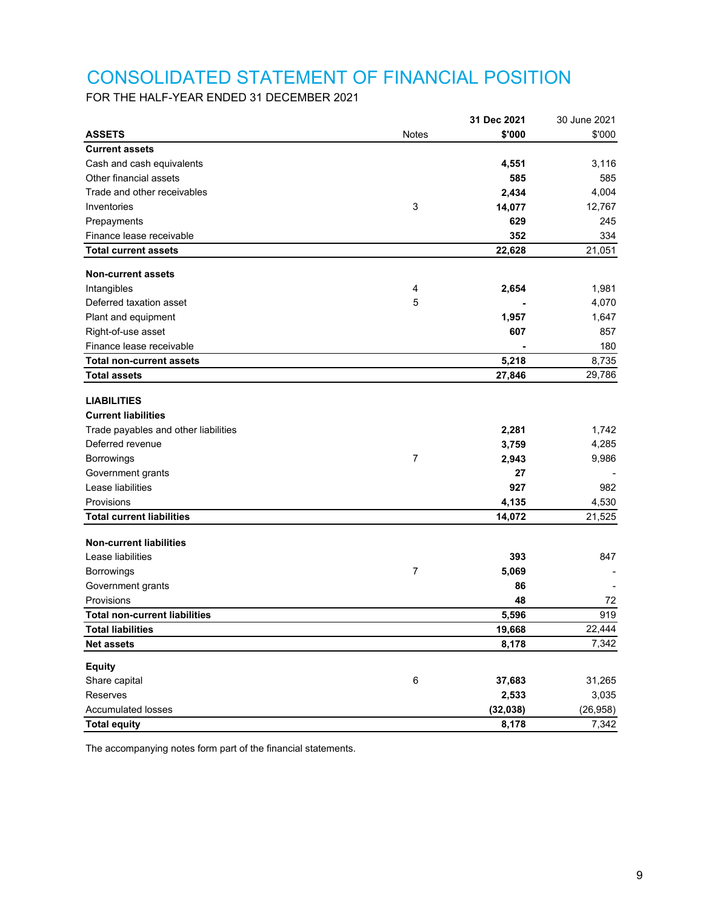# CONSOLIDATED STATEMENT OF FINANCIAL POSITION

FOR THE HALF-YEAR ENDED 31 DECEMBER 2021

|                                      |              | 31 Dec 2021 | 30 June 2021 |
|--------------------------------------|--------------|-------------|--------------|
| <b>ASSETS</b>                        | <b>Notes</b> | \$'000      | \$'000       |
| <b>Current assets</b>                |              |             |              |
| Cash and cash equivalents            |              | 4,551       | 3,116        |
| Other financial assets               |              | 585         | 585          |
| Trade and other receivables          |              | 2,434       | 4,004        |
| Inventories                          | 3            | 14,077      | 12,767       |
| Prepayments                          |              | 629         | 245          |
| Finance lease receivable             |              | 352         | 334          |
| <b>Total current assets</b>          |              | 22,628      | 21,051       |
| <b>Non-current assets</b>            |              |             |              |
| Intangibles                          | 4            | 2,654       | 1,981        |
| Deferred taxation asset              | 5            |             | 4,070        |
| Plant and equipment                  |              | 1,957       | 1,647        |
| Right-of-use asset                   |              | 607         | 857          |
| Finance lease receivable             |              |             | 180          |
| <b>Total non-current assets</b>      |              | 5,218       | 8,735        |
| <b>Total assets</b>                  |              | 27,846      | 29,786       |
|                                      |              |             |              |
| <b>LIABILITIES</b>                   |              |             |              |
| <b>Current liabilities</b>           |              |             |              |
| Trade payables and other liabilities |              | 2,281       | 1,742        |
| Deferred revenue                     |              | 3,759       | 4,285        |
| Borrowings                           | 7            | 2,943       | 9,986        |
| Government grants                    |              | 27          |              |
| Lease liabilities                    |              | 927         | 982          |
| Provisions                           |              | 4,135       | 4,530        |
| <b>Total current liabilities</b>     |              | 14,072      | 21,525       |
| <b>Non-current liabilities</b>       |              |             |              |
|                                      |              |             |              |
| Lease liabilities                    |              | 393         | 847          |
| <b>Borrowings</b>                    | 7            | 5,069       |              |
| Government grants                    |              | 86          |              |
| Provisions                           |              | 48          | 72           |
| <b>Total non-current liabilities</b> |              | 5,596       | 919          |
| <b>Total liabilities</b>             |              | 19,668      | 22,444       |
| <b>Net assets</b>                    |              | 8,178       | 7,342        |
| <b>Equity</b>                        |              |             |              |
| Share capital                        | $\,6$        | 37,683      | 31,265       |
| Reserves                             |              | 2,533       | 3,035        |
| Accumulated losses                   |              | (32, 038)   | (26, 958)    |
| <b>Total equity</b>                  |              | 8,178       | 7,342        |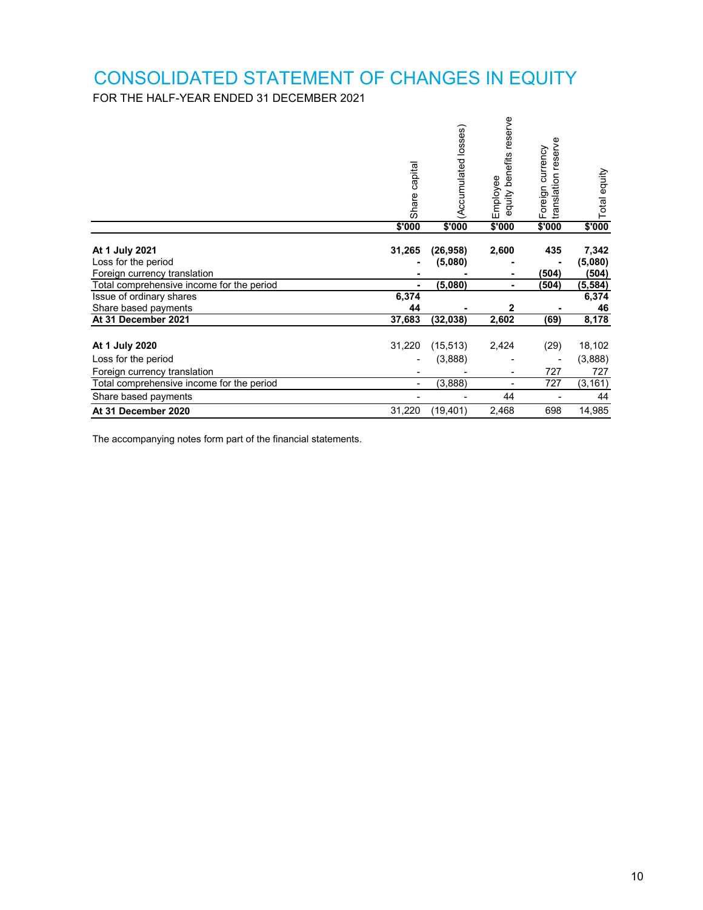# CONSOLIDATED STATEMENT OF CHANGES IN EQUITY

FOR THE HALF-YEAR ENDED 31 DECEMBER 2021

|                                                                                                                                                | Share capital   | (Accumulated losses)            | benefits reserve<br>Employee<br>equity | reserve<br>currency<br>translation<br>Foreign | Total equity                                   |
|------------------------------------------------------------------------------------------------------------------------------------------------|-----------------|---------------------------------|----------------------------------------|-----------------------------------------------|------------------------------------------------|
|                                                                                                                                                | \$'000          | \$'000                          | \$'000                                 | \$'000                                        | \$'000                                         |
| At 1 July 2021<br>Loss for the period<br>Foreign currency translation<br>Total comprehensive income for the period<br>Issue of ordinary shares | 31,265<br>6,374 | (26, 958)<br>(5,080)<br>(5,080) | 2,600<br>٠                             | 435<br>(504)<br>(504)                         | 7,342<br>(5,080)<br>(504)<br>(5, 584)<br>6,374 |
| Share based payments                                                                                                                           | 44              |                                 | $\mathbf{2}$                           |                                               | 46                                             |
| At 31 December 2021                                                                                                                            | 37,683          | (32, 038)                       | 2,602                                  | (69)                                          | 8,178                                          |
| At 1 July 2020<br>Loss for the period                                                                                                          | 31,220          | (15, 513)<br>(3,888)            | 2,424                                  | (29)                                          | 18,102<br>(3,888)                              |
| Foreign currency translation                                                                                                                   |                 |                                 | -                                      | 727                                           | 727                                            |
| Total comprehensive income for the period                                                                                                      |                 | (3,888)                         |                                        | 727                                           | (3, 161)                                       |
| Share based payments                                                                                                                           |                 |                                 | 44                                     |                                               | 44                                             |
| At 31 December 2020                                                                                                                            | 31,220          | (19, 401)                       | 2,468                                  | 698                                           | 14,985                                         |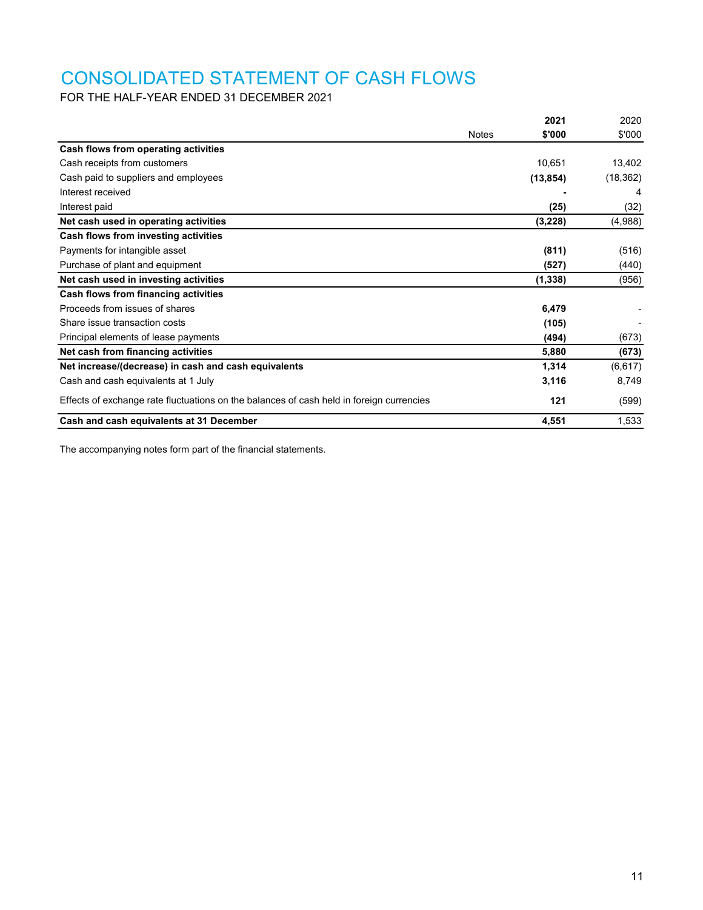# CONSOLIDATED STATEMENT OF CASH FLOWS

FOR THE HALF-YEAR ENDED 31 DECEMBER 2021

|                                                                                          |              | 2021      | 2020      |
|------------------------------------------------------------------------------------------|--------------|-----------|-----------|
|                                                                                          | <b>Notes</b> | \$'000    | \$'000    |
| Cash flows from operating activities                                                     |              |           |           |
| Cash receipts from customers                                                             |              | 10,651    | 13,402    |
| Cash paid to suppliers and employees                                                     |              | (13, 854) | (18, 362) |
| Interest received                                                                        |              |           | 4         |
| Interest paid                                                                            |              | (25)      | (32)      |
| Net cash used in operating activities                                                    |              | (3,228)   | (4,988)   |
| Cash flows from investing activities                                                     |              |           |           |
| Payments for intangible asset                                                            |              | (811)     | (516)     |
| Purchase of plant and equipment                                                          |              | (527)     | (440)     |
| Net cash used in investing activities                                                    |              | (1, 338)  | (956)     |
| Cash flows from financing activities                                                     |              |           |           |
| Proceeds from issues of shares                                                           |              | 6,479     |           |
| Share issue transaction costs                                                            |              | (105)     |           |
| Principal elements of lease payments                                                     |              | (494)     | (673)     |
| Net cash from financing activities                                                       |              | 5,880     | (673)     |
| Net increase/(decrease) in cash and cash equivalents                                     |              | 1,314     | (6,617)   |
| Cash and cash equivalents at 1 July                                                      |              | 3,116     | 8,749     |
| Effects of exchange rate fluctuations on the balances of cash held in foreign currencies |              | 121       | (599)     |
| Cash and cash equivalents at 31 December                                                 |              | 4,551     | 1,533     |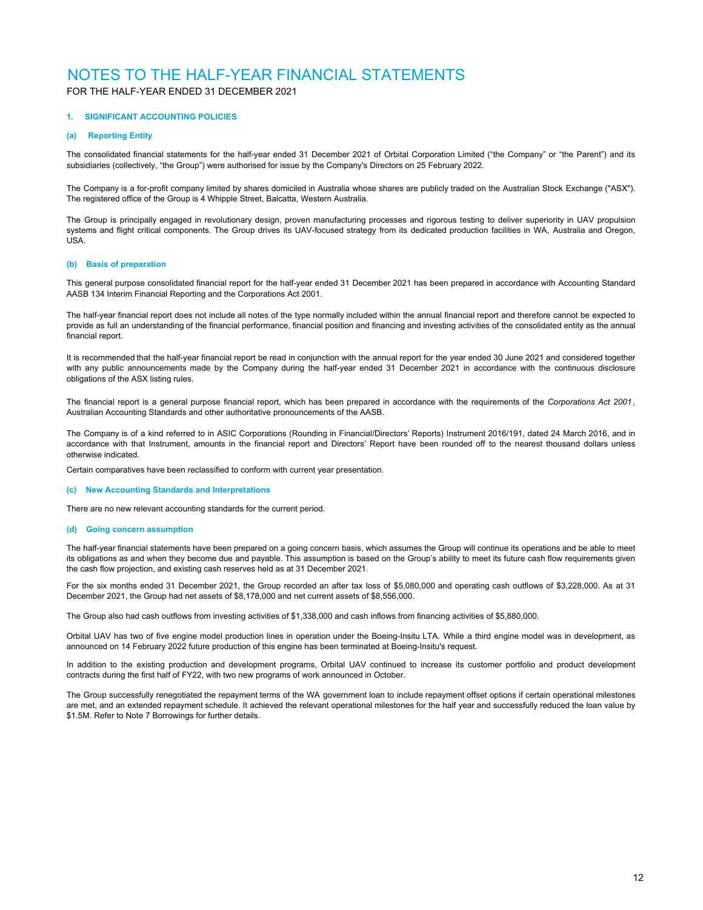### FOR THE HALF-YEAR ENDED 31 DECEMBER 2021

### **1. SIGNIFICANT ACCOUNTING POLICIES**

#### **(a) Reporting Entity**

The consolidated financial statements for the half-year ended 31 December 2021 of Orbital Corporation Limited ("the Company" or "the Parent") and its subsidiaries (collectively, "the Group") were authorised for issue by the Company's Directors on 25 February 2022.

The Company is a for-profit company limited by shares domiciled in Australia whose shares are publicly traded on the Australian Stock Exchange ("ASX"). The registered office of the Group is 4 Whipple Street, Balcatta, Western Australia.

The Group is principally engaged in revolutionary design, proven manufacturing processes and rigorous testing to deliver superiority in UAV propulsion systems and flight critical components. The Group drives its UAV-focused strategy from its dedicated production facilities in WA, Australia and Oregon, USA.

### **(b) Basis of preparation**

This general purpose consolidated financial report for the half-year ended 31 December 2021 has been prepared in accordance with Accounting Standard AASB 134 Interim Financial Reporting and the Corporations Act 2001.

The half-year financial report does not include all notes of the type normally included within the annual financial report and therefore cannot be expected to provide as full an understanding of the financial performance, financial position and financing and investing activities of the consolidated entity as the annual financial report.

It is recommended that the half-year financial report be read in conjunction with the annual report for the year ended 30 June 2021 and considered together with any public announcements made by the Company during the half-year ended 31 December 2021 in accordance with the continuous disclosure obligations of the ASX listing rules.

The financial report is a general purpose financial report, which has been prepared in accordance with the requirements of the *Corporations Act 2001* , Australian Accounting Standards and other authoritative pronouncements of the AASB.

The Company is of a kind referred to in ASIC Corporations (Rounding in Financial/Directors' Reports) Instrument 2016/191, dated 24 March 2016, and in accordance with that Instrument, amounts in the financial report and Directors' Report have been rounded off to the nearest thousand dollars unless otherwise indicated.

Certain comparatives have been reclassified to conform with current year presentation.

#### **(c) New Accounting Standards and Interpretations**

There are no new relevant accounting standards for the current period.

#### **(d) Going concern assumption**

The half-year financial statements have been prepared on a going concern basis, which assumes the Group will continue its operations and be able to meet its obligations as and when they become due and payable. This assumption is based on the Group's ability to meet its future cash flow requirements given the cash flow projection, and existing cash reserves held as at 31 December 2021.

For the six months ended 31 December 2021, the Group recorded an after tax loss of \$5,080,000 and operating cash outflows of \$3,228,000. As at 31 December 2021, the Group had net assets of \$8,178,000 and net current assets of \$8,556,000.

The Group also had cash outflows from investing activities of \$1,338,000 and cash inflows from financing activities of \$5,880,000.

Orbital UAV has two of five engine model production lines in operation under the Boeing-Insitu LTA. While a third engine model was in development, as announced on 14 February 2022 future production of this engine has been terminated at Boeing-Insitu's request.

In addition to the existing production and development programs, Orbital UAV continued to increase its customer portfolio and product development contracts during the first half of FY22, with two new programs of work announced in October.

The Group successfully renegotiated the repayment terms of the WA government loan to include repayment offset options if certain operational milestones are met, and an extended repayment schedule. It achieved the relevant operational milestones for the half year and successfully reduced the loan value by \$1.5M. Refer to Note 7 Borrowings for further details.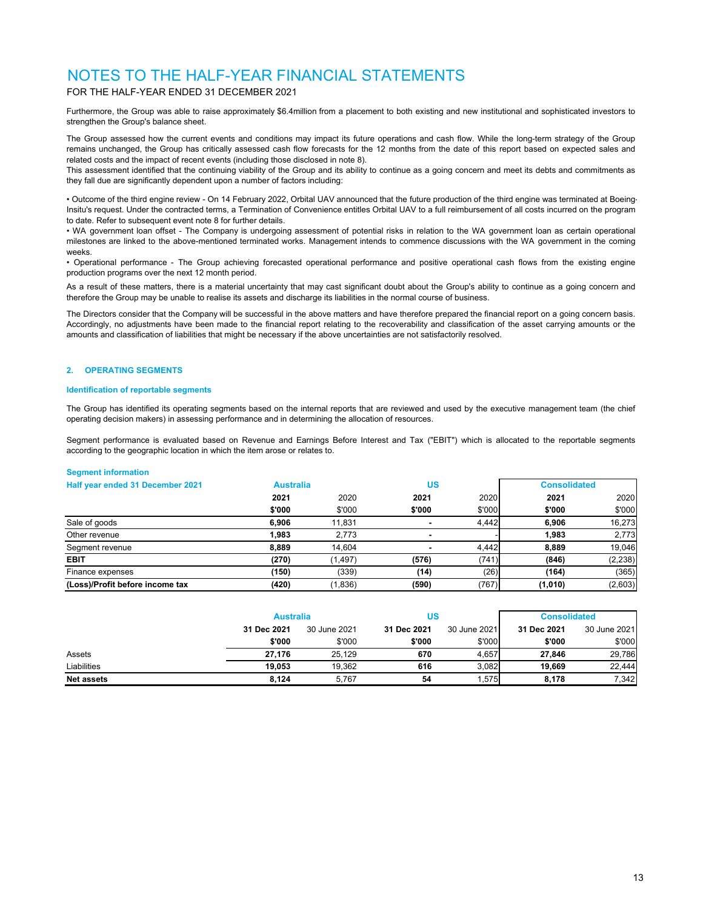### FOR THE HALF-YEAR ENDED 31 DECEMBER 2021

Furthermore, the Group was able to raise approximately \$6.4million from a placement to both existing and new institutional and sophisticated investors to strengthen the Group's balance sheet.

The Group assessed how the current events and conditions may impact its future operations and cash flow. While the long-term strategy of the Group remains unchanged, the Group has critically assessed cash flow forecasts for the 12 months from the date of this report based on expected sales and related costs and the impact of recent events (including those disclosed in note 8).

This assessment identified that the continuing viability of the Group and its ability to continue as a going concern and meet its debts and commitments as they fall due are significantly dependent upon a number of factors including:

• Outcome of the third engine review - On 14 February 2022, Orbital UAV announced that the future production of the third engine was terminated at Boeing-Insitu's request. Under the contracted terms, a Termination of Convenience entitles Orbital UAV to a full reimbursement of all costs incurred on the program to date. Refer to subsequent event note 8 for further details.

• WA government loan offset - The Company is undergoing assessment of potential risks in relation to the WA government loan as certain operational milestones are linked to the above-mentioned terminated works. Management intends to commence discussions with the WA government in the coming weeks.

• Operational performance - The Group achieving forecasted operational performance and positive operational cash flows from the existing engine production programs over the next 12 month period.

As a result of these matters, there is a material uncertainty that may cast significant doubt about the Group's ability to continue as a going concern and therefore the Group may be unable to realise its assets and discharge its liabilities in the normal course of business.

The Directors consider that the Company will be successful in the above matters and have therefore prepared the financial report on a going concern basis. Accordingly, no adjustments have been made to the financial report relating to the recoverability and classification of the asset carrying amounts or the amounts and classification of liabilities that might be necessary if the above uncertainties are not satisfactorily resolved.

### **2. OPERATING SEGMENTS**

### **Identification of reportable segments**

The Group has identified its operating segments based on the internal reports that are reviewed and used by the executive management team (the chief operating decision makers) in assessing performance and in determining the allocation of resources.

Segment performance is evaluated based on Revenue and Earnings Before Interest and Tax ("EBIT") which is allocated to the reportable segments according to the geographic location in which the item arose or relates to.

#### **Segment information**

| Half year ended 31 December 2021 | US<br><b>Australia</b> |          |        | <b>Consolidated</b> |         |          |
|----------------------------------|------------------------|----------|--------|---------------------|---------|----------|
|                                  | 2021                   | 2020     | 2021   | 2020                | 2021    | 2020     |
|                                  | \$'000                 | \$'000   | \$'000 | \$'000              | \$'000  | \$'000   |
| Sale of goods                    | 6.906                  | 11.831   |        | 4.442               | 6.906   | 16,273   |
| Other revenue                    | 1.983                  | 2.773    |        |                     | 1.983   | 2.773    |
| Segment revenue                  | 8.889                  | 14.604   |        | 4,442               | 8.889   | 19,046   |
| <b>EBIT</b>                      | (270)                  | (1, 497) | (576)  | (741)               | (846)   | (2, 238) |
| Finance expenses                 | (150)                  | (339)    | (14)   | (26)                | (164)   | (365)    |
| (Loss)/Profit before income tax  | (420)                  | (1,836)  | (590)  | (767)               | (1,010) | (2,603)  |

|                   | <b>Australia</b> |              | US          |              | <b>Consolidated</b> |              |
|-------------------|------------------|--------------|-------------|--------------|---------------------|--------------|
|                   | 31 Dec 2021      | 30 June 2021 | 31 Dec 2021 | 30 June 2021 | 31 Dec 2021         | 30 June 2021 |
|                   | \$'000           | \$'000       | \$'000      | \$'000       | \$'000              | \$'000       |
| Assets            | 27.176           | 25.129       | 670         | 4.657        | 27.846              | 29,786       |
| Liabilities       | 19.053           | 19.362       | 616         | 3.082        | 19.669              | 22.444       |
| <b>Net assets</b> | 8.124            | 5.767        | 54          | .575         | 8.178               | 7,342        |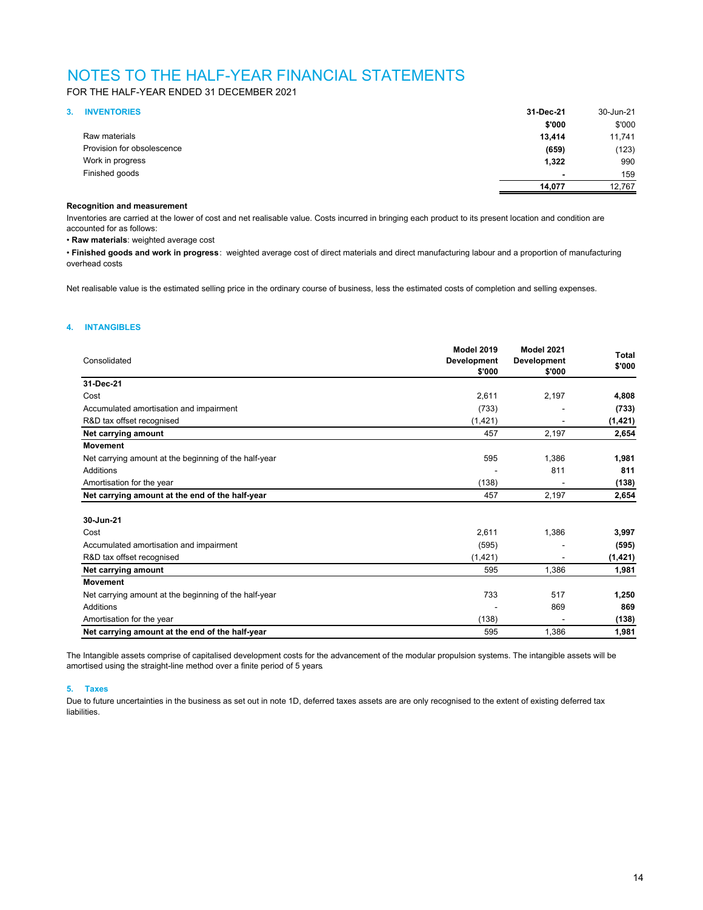FOR THE HALF-YEAR ENDED 31 DECEMBER 2021

| 3. | <b>INVENTORIES</b>         | 31-Dec-21                | 30-Jun-21 |
|----|----------------------------|--------------------------|-----------|
|    |                            | \$'000                   | \$'000    |
|    | Raw materials              | 13,414                   | 11,741    |
|    | Provision for obsolescence | (659)                    | (123)     |
|    | Work in progress           | 1,322                    | 990       |
|    | Finished goods             | $\overline{\phantom{a}}$ | 159       |
|    |                            | 14,077                   | 12.767    |

### **Recognition and measurement**

Inventories are carried at the lower of cost and net realisable value. Costs incurred in bringing each product to its present location and condition are accounted for as follows:

• **Raw materials**: weighted average cost

• **Finished goods and work in progress**: weighted average cost of direct materials and direct manufacturing labour and a proportion of manufacturing overhead costs

Net realisable value is the estimated selling price in the ordinary course of business, less the estimated costs of completion and selling expenses.

### **4. INTANGIBLES**

| Consolidated                                          | <b>Model 2019</b><br>Development<br>\$'000 | Model 2021<br>Development<br>\$'000 | Total<br>\$'000 |
|-------------------------------------------------------|--------------------------------------------|-------------------------------------|-----------------|
| 31-Dec-21                                             |                                            |                                     |                 |
| Cost                                                  | 2,611                                      | 2,197                               | 4,808           |
| Accumulated amortisation and impairment               | (733)                                      |                                     | (733)           |
| R&D tax offset recognised                             | (1, 421)                                   |                                     | (1, 421)        |
| Net carrying amount                                   | 457                                        | 2,197                               | 2,654           |
| <b>Movement</b>                                       |                                            |                                     |                 |
| Net carrying amount at the beginning of the half-year | 595                                        | 1,386                               | 1,981           |
| <b>Additions</b>                                      |                                            | 811                                 | 811             |
| Amortisation for the year                             | (138)                                      |                                     | (138)           |
| Net carrying amount at the end of the half-year       | 457                                        | 2,197                               | 2,654           |
| 30-Jun-21                                             |                                            |                                     |                 |
| Cost                                                  | 2,611                                      | 1,386                               | 3,997           |
| Accumulated amortisation and impairment               | (595)                                      |                                     | (595)           |
| R&D tax offset recognised                             | (1, 421)                                   |                                     | (1, 421)        |
| Net carrying amount                                   | 595                                        | 1,386                               | 1,981           |
| <b>Movement</b>                                       |                                            |                                     |                 |
| Net carrying amount at the beginning of the half-year | 733                                        | 517                                 | 1,250           |
| <b>Additions</b>                                      |                                            | 869                                 | 869             |
| Amortisation for the year                             | (138)                                      |                                     | (138)           |
| Net carrying amount at the end of the half-year       | 595                                        | 1,386                               | 1,981           |

The Intangible assets comprise of capitalised development costs for the advancement of the modular propulsion systems. The intangible assets will be amortised using the straight-line method over a finite period of 5 years.

### **5. Taxes**

Due to future uncertainties in the business as set out in note 1D, deferred taxes assets are are only recognised to the extent of existing deferred tax liabilities.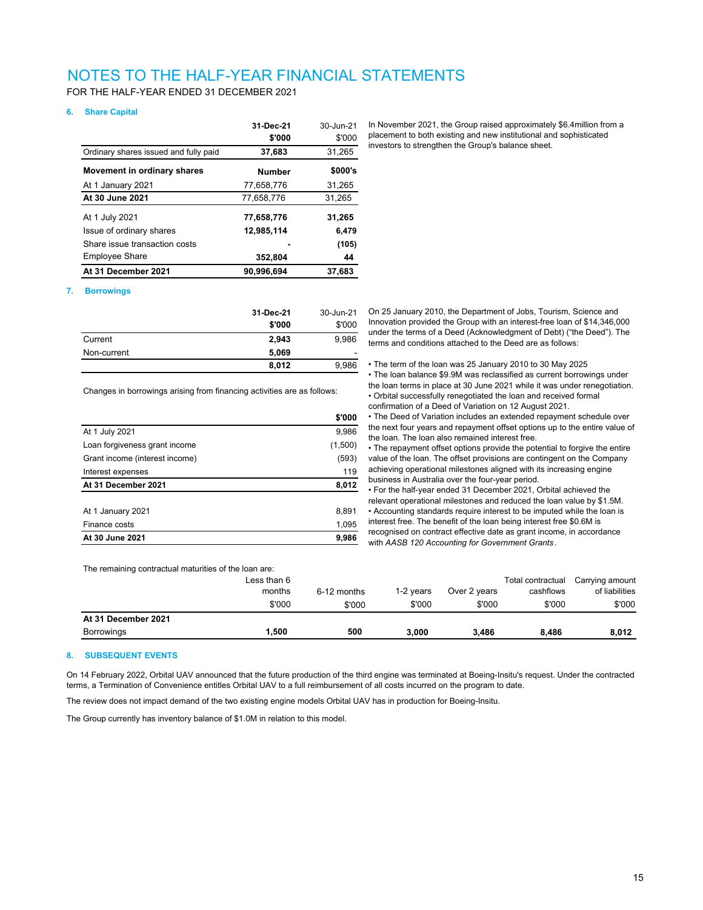FOR THE HALF-YEAR ENDED 31 DECEMBER 2021

### **6. Share Capital**

|                                       | 31-Dec-21<br>\$'000 | 30-Jun-21<br>\$'000 |
|---------------------------------------|---------------------|---------------------|
| Ordinary shares issued and fully paid | 37,683              | 31,265              |
| Movement in ordinary shares           | <b>Number</b>       | \$000's             |
| At 1 January 2021                     | 77,658,776          | 31,265              |
| At 30 June 2021                       | 77.658.776          | 31,265              |
| At 1 July 2021                        | 77,658,776          | 31,265              |
| Issue of ordinary shares              | 12,985,114          | 6.479               |
| Share issue transaction costs         |                     | (105)               |
| Employee Share                        | 352,804             | 44                  |
| At 31 December 2021                   | 90.996.694          | 37.683              |

In November 2021, the Group raised approximately \$6.4million from a placement to both existing and new institutional and sophisticated investors to strengthen the Group's balance sheet.

### **7. Borrowings**

|             | 31-Dec-21 | 30-Jun-21 |
|-------------|-----------|-----------|
|             | \$'000    | \$'000    |
| Current     | 2,943     | 9.986     |
| Non-current | 5,069     |           |
|             | 8,012     | 9,986     |

Changes in borrowings arising from financing activities are as follows:

|                                | \$'000  |
|--------------------------------|---------|
| At 1 July 2021                 | 9,986   |
| Loan forgiveness grant income  | (1,500) |
| Grant income (interest income) | (593)   |
| Interest expenses              | 119     |
| At 31 December 2021            | 8,012   |
|                                |         |
| At 1 January 2021              | 8,891   |
| Finance costs                  | 1,095   |
| At 30 June 2021                | 9,986   |
|                                |         |

On 25 January 2010, the Department of Jobs, Tourism, Science and Innovation provided the Group with an interest-free loan of \$14,346,000 under the terms of a Deed (Acknowledgment of Debt) ("the Deed"). The terms and conditions attached to the Deed are as follows:

• The term of the loan was 25 January 2010 to 30 May 2025

• The loan balance \$9.9M was reclassified as current borrowings under the loan terms in place at 30 June 2021 while it was under renegotiation. • Orbital successfully renegotiated the loan and received formal confirmation of a Deed of Variation on 12 August 2021.

• The Deed of Variation includes an extended repayment schedule over the next four years and repayment offset options up to the entire value of the loan. The loan also remained interest free.

• The repayment offset options provide the potential to forgive the entire value of the loan. The offset provisions are contingent on the Company achieving operational milestones aligned with its increasing engine business in Australia over the four-year period.

• For the half-year ended 31 December 2021, Orbital achieved the relevant operational milestones and reduced the loan value by \$1.5M. • Accounting standards require interest to be imputed while the loan is interest free. The benefit of the loan being interest free \$0.6M is recognised on contract effective date as grant income, in accordance with *AASB 120 Accounting for Government Grants*.

The remaining contractual maturities of the loan are:

| months<br>Over 2 years<br>1-2 vears<br>cashflows<br>6-12 months<br>\$'000<br>\$'000<br>\$'000<br>\$'000<br>\$'000<br>At 31 December 2021 | <b>Borrowings</b> | 500.ا       | 500 | 3.000 | 3.486 | 8.486             | 8,012                             |
|------------------------------------------------------------------------------------------------------------------------------------------|-------------------|-------------|-----|-------|-------|-------------------|-----------------------------------|
|                                                                                                                                          |                   |             |     |       |       |                   |                                   |
|                                                                                                                                          |                   |             |     |       |       |                   | \$'000                            |
|                                                                                                                                          |                   | Less than 6 |     |       |       | Total contractual | Carrying amount<br>of liabilities |

#### **8. SUBSEQUENT EVENTS**

On 14 February 2022, Orbital UAV announced that the future production of the third engine was terminated at Boeing-Insitu's request. Under the contracted terms, a Termination of Convenience entitles Orbital UAV to a full reimbursement of all costs incurred on the program to date.

The review does not impact demand of the two existing engine models Orbital UAV has in production for Boeing-Insitu.

The Group currently has inventory balance of \$1.0M in relation to this model.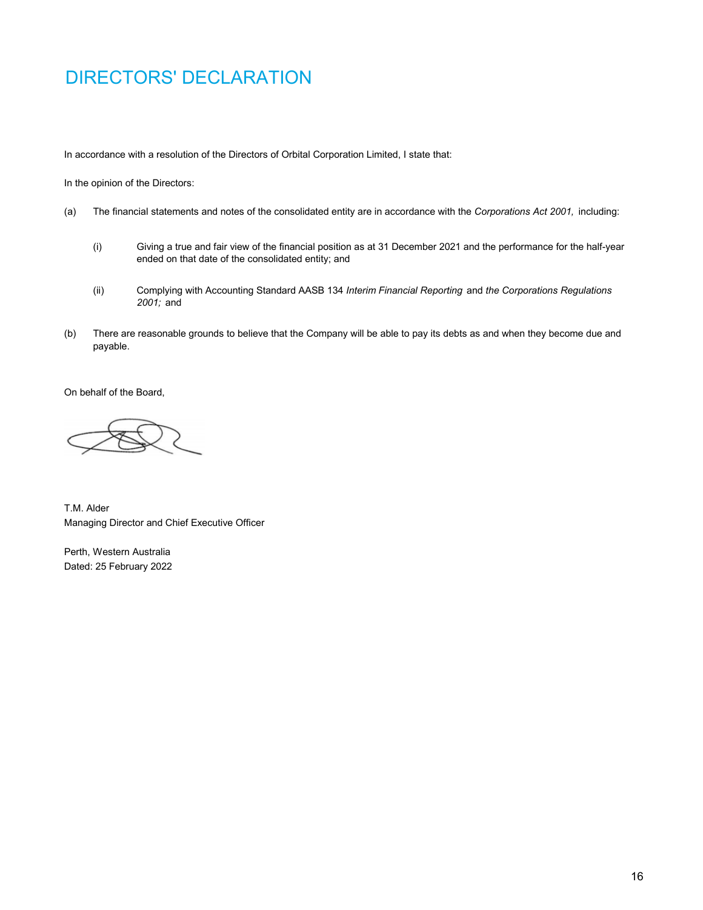# DIRECTORS' DECLARATION

In accordance with a resolution of the Directors of Orbital Corporation Limited, I state that:

In the opinion of the Directors:

- (a) The financial statements and notes of the consolidated entity are in accordance with the *Corporations Act 2001,* including:
	- (i) Giving a true and fair view of the financial position as at 31 December 2021 and the performance for the half-year ended on that date of the consolidated entity; and
	- (ii) Complying with Accounting Standard AASB 134 *Interim Financial Reporting* and *the Corporations Regulations 2001;* and
- (b) There are reasonable grounds to believe that the Company will be able to pay its debts as and when they become due and payable.

On behalf of the Board,

T.M. Alder Managing Director and Chief Executive Officer

Perth, Western Australia Dated: 25 February 2022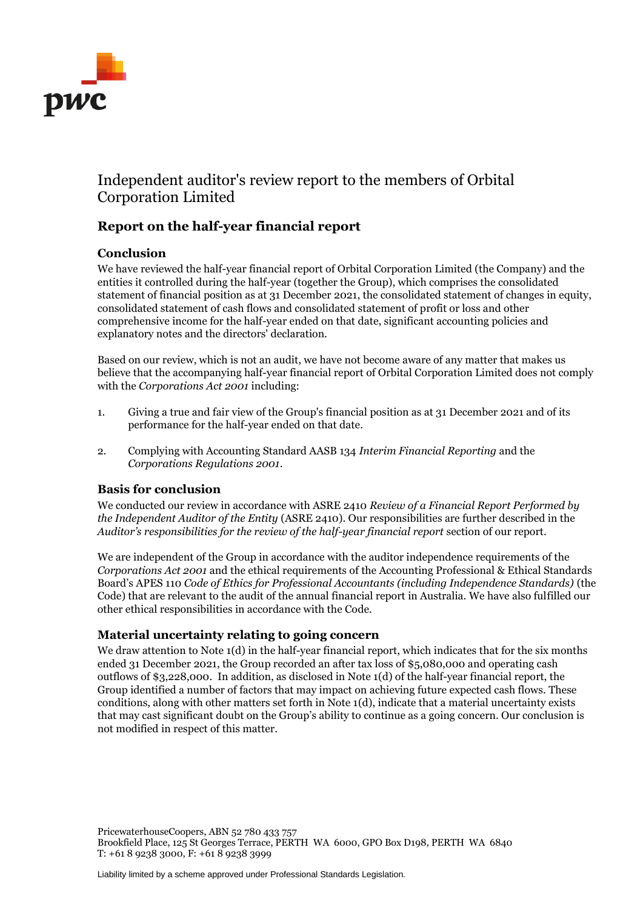

# Independent auditor's review report to the members of Orbital Corporation Limited

# **Report on the half-year financial report**

## **Conclusion**

We have reviewed the half-year financial report of Orbital Corporation Limited (the Company) and the entities it controlled during the half-year (together the Group), which comprises the consolidated statement of financial position as at 31 December 2021, the consolidated statement of changes in equity, consolidated statement of cash flows and consolidated statement of profit or loss and other comprehensive income for the half-year ended on that date, significant accounting policies and explanatory notes and the directors' declaration.

Based on our review, which is not an audit, we have not become aware of any matter that makes us believe that the accompanying half-year financial report of Orbital Corporation Limited does not comply with the *Corporations Act 2001* including:

- 1. Giving a true and fair view of the Group's financial position as at 31 December 2021 and of its performance for the half-year ended on that date.
- 2. Complying with Accounting Standard AASB 134 *Interim Financial Reporting* and the *Corporations Regulations 2001*.

## **Basis for conclusion**

We conducted our review in accordance with ASRE 2410 *Review of a Financial Report Performed by the Independent Auditor of the Entity* (ASRE 2410). Our responsibilities are further described in the *Auditor's responsibilities for the review of the half-year financial report* section of our report.

We are independent of the Group in accordance with the auditor independence requirements of the *Corporations Act 2001* and the ethical requirements of the Accounting Professional & Ethical Standards Board's APES 110 *Code of Ethics for Professional Accountants (including Independence Standards)* (the Code) that are relevant to the audit of the annual financial report in Australia. We have also fulfilled our other ethical responsibilities in accordance with the Code.

## **Material uncertainty relating to going concern**

We draw attention to Note 1(d) in the half-year financial report, which indicates that for the six months ended 31 December 2021, the Group recorded an after tax loss of \$5,080,000 and operating cash outflows of \$3,228,000. In addition, as disclosed in Note 1(d) of the half-year financial report, the Group identified a number of factors that may impact on achieving future expected cash flows. These conditions, along with other matters set forth in Note 1(d), indicate that a material uncertainty exists that may cast significant doubt on the Group's ability to continue as a going concern. Our conclusion is not modified in respect of this matter.